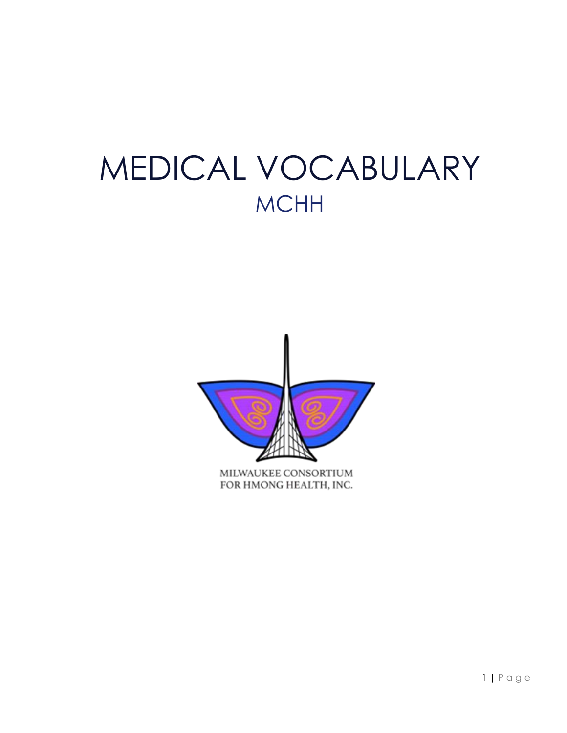# MEDICAL VOCABULARY **MCHH**

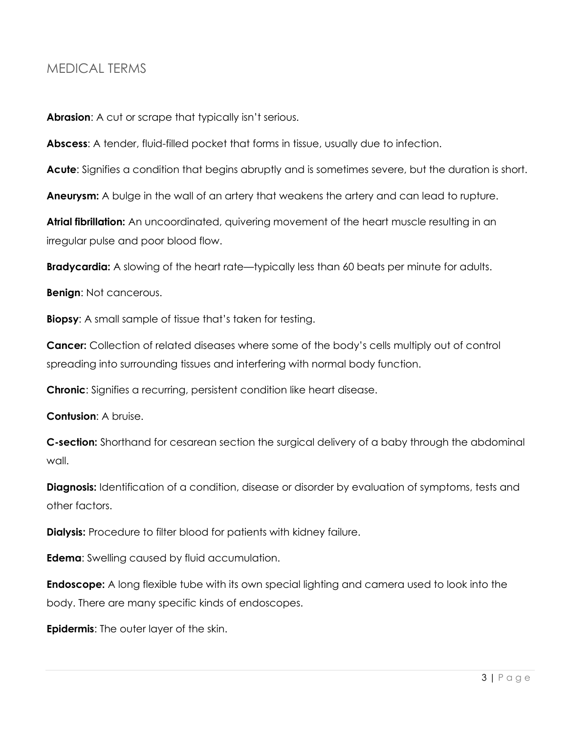## <span id="page-2-0"></span>MEDICAL TERMS

**Abrasion**: A cut or scrape that typically isn't serious.

**Abscess**: A tender, fluid-filled pocket that forms in tissue, usually due to infection.

Acute: Signifies a condition that begins abruptly and is sometimes severe, but the duration is short.

**Aneurysm:** A bulge in the wall of an artery that weakens the artery and can lead to rupture.

**Atrial fibrillation:** An uncoordinated, quivering movement of the heart muscle resulting in an irregular pulse and poor blood flow.

**Bradycardia:** A slowing of the heart rate—typically less than 60 beats per minute for adults.

**Benign**: Not cancerous.

**Biopsy**: A small sample of tissue that's taken for testing.

**Cancer:** Collection of related diseases where some of the body's cells multiply out of control spreading into surrounding tissues and interfering with normal body function.

**Chronic**: Signifies a recurring, persistent condition like heart disease.

**Contusion**: A bruise.

**C-section:** Shorthand for cesarean section the surgical delivery of a baby through the abdominal wall.

**Diagnosis:** Identification of a condition, disease or disorder by evaluation of symptoms, tests and other factors.

**Dialysis:** Procedure to filter blood for patients with kidney failure.

**Edema**: Swelling caused by fluid accumulation.

**Endoscope:** A long flexible tube with its own special lighting and camera used to look into the body. There are many specific kinds of endoscopes.

**Epidermis**: The outer layer of the skin.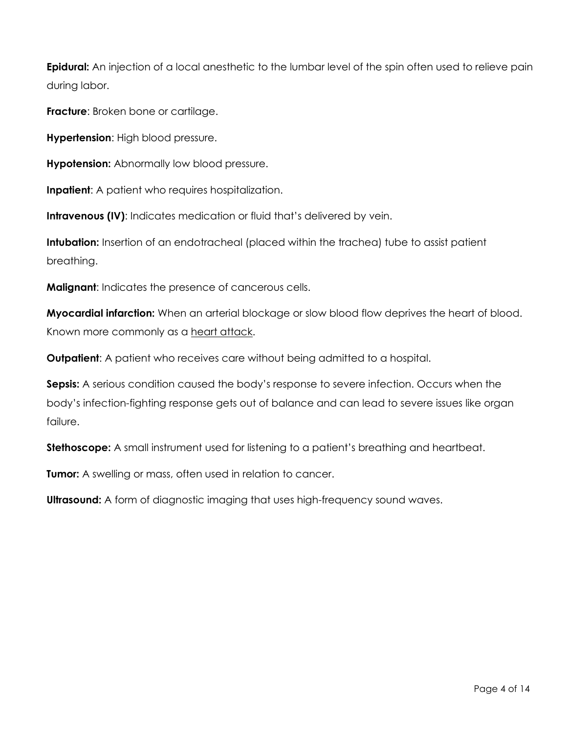**Epidural:** An injection of a local anesthetic to the lumbar level of the spin often used to relieve pain during labor.

**Fracture**: Broken bone or cartilage.

**Hypertension**: High blood pressure.

**Hypotension:** Abnormally low blood pressure.

**Inpatient**: A patient who requires hospitalization.

**Intravenous (IV):** Indicates medication or fluid that's delivered by vein.

**Intubation:** Insertion of an endotracheal (placed within the trachea) tube to assist patient breathing.

**Malignant**: Indicates the presence of cancerous cells.

**Myocardial infarction:** When an arterial blockage or slow blood flow deprives the heart of blood. Known more commonly as a heart attack.

**Outpatient:** A patient who receives care without being admitted to a hospital.

**Sepsis:** A serious condition caused the body's response to severe infection. Occurs when the body's infection-fighting response gets out of balance and can lead to severe issues like organ failure.

**Stethoscope:** A small instrument used for listening to a patient's breathing and heartbeat.

**Tumor:** A swelling or mass, often used in relation to cancer.

**Ultrasound:** A form of diagnostic imaging that uses high-frequency sound waves.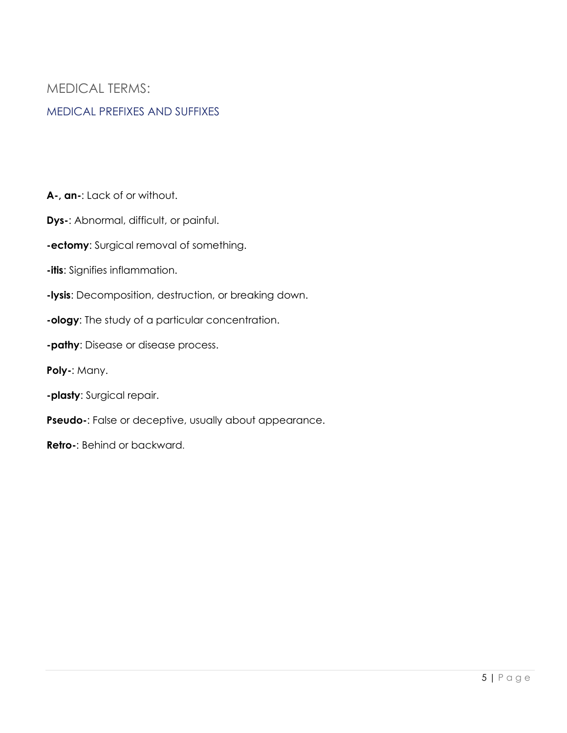## <span id="page-4-0"></span>MEDICAL TERMS:

#### <span id="page-4-1"></span>MEDICAL PREFIXES AND SUFFIXES

**A-, an-**: Lack of or without.

- **Dys-**: Abnormal, difficult, or painful.
- **-ectomy**: Surgical removal of something.
- **-itis**: Signifies inflammation.
- **-lysis**: Decomposition, destruction, or breaking down.
- **-ology**: The study of a particular concentration.
- **-pathy**: Disease or disease process.
- **Poly-**: Many.
- **-plasty**: Surgical repair.
- **Pseudo-**: False or deceptive, usually about appearance.
- **Retro-**: Behind or backward.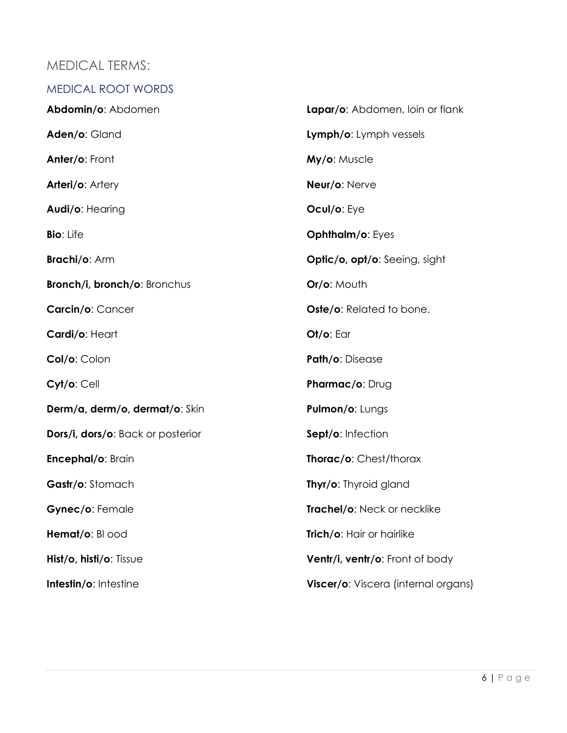## <span id="page-5-0"></span>MEDICAL TERMS:

<span id="page-5-1"></span>

| <b>MEDICAL ROOT WORDS</b>         |                                      |
|-----------------------------------|--------------------------------------|
| Abdomin/o: Abdomen                | Lapar/o: Abdomen, loin or flank      |
| Aden/o: Gland                     | Lymph/o: Lymph vessels               |
| Anter/o: Front                    | My/o: Muscle                         |
| Arteri/o: Artery                  | Neur/o: Nerve                        |
| Audi/o: Hearing                   | Ocul/o: Eye                          |
| <b>Bio: Life</b>                  | <b>Ophthalm/o: Eyes</b>              |
| <b>Brachi/o: Arm</b>              | <b>Optic/o, opt/o:</b> Seeing, sight |
| Bronch/i, bronch/o: Bronchus      | Or/o: Mouth                          |
| Carcin/o: Cancer                  | Oste/o: Related to bone.             |
| Cardi/o: Heart                    | $Ot/o$ : Ear                         |
| Col/o: Colon                      | Path/o: Disease                      |
| Cyt/o: Cell                       | Pharmac/o: Drug                      |
| Derm/a, derm/o, dermat/o: Skin    | Pulmon/o: Lungs                      |
| Dors/i, dors/o: Back or posterior | Sept/o: Infection                    |
| Encephal/o: Brain                 | Thorac/o: Chest/thorax               |
| Gastr/o: Stomach                  | Thyr/o: Thyroid gland                |
| Gynec/o: Female                   | Trachel/o: Neck or necklike          |
| Hemat/o: BI ood                   | Trich/o: Hair or hairlike            |
| $Hist/O$ , histi/o: Tissue        | Ventr/i, ventr/o: Front of body      |
| Intestin/o: Intestine             | Viscer/o: Viscera (internal organs)  |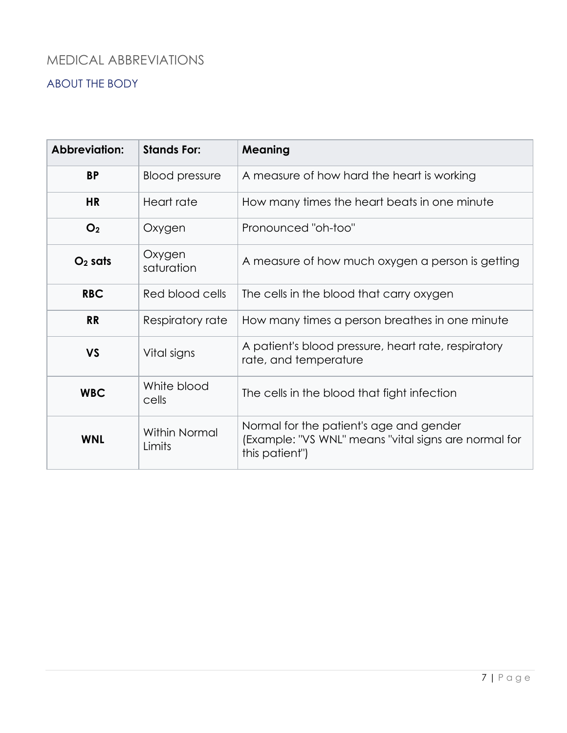## <span id="page-6-1"></span><span id="page-6-0"></span>ABOUT THE BODY

| <b>Abbreviation:</b> | <b>Stands For:</b>             | <b>Meaning</b>                                                                                                    |
|----------------------|--------------------------------|-------------------------------------------------------------------------------------------------------------------|
| <b>BP</b>            | <b>Blood pressure</b>          | A measure of how hard the heart is working                                                                        |
| <b>HR</b>            | Heart rate                     | How many times the heart beats in one minute                                                                      |
| O <sub>2</sub>       | Oxygen                         | Pronounced "oh-too"                                                                                               |
| $O2$ sats            | Oxygen<br>saturation           | A measure of how much oxygen a person is getting                                                                  |
| <b>RBC</b>           | Red blood cells                | The cells in the blood that carry oxygen                                                                          |
| <b>RR</b>            | Respiratory rate               | How many times a person breathes in one minute                                                                    |
| <b>VS</b>            | Vital signs                    | A patient's blood pressure, heart rate, respiratory<br>rate, and temperature                                      |
| <b>WBC</b>           | White blood<br>cells           | The cells in the blood that fight infection                                                                       |
| <b>WNL</b>           | <b>Within Normal</b><br>Limits | Normal for the patient's age and gender<br>(Example: "VS WNL" means "vital signs are normal for<br>this patient") |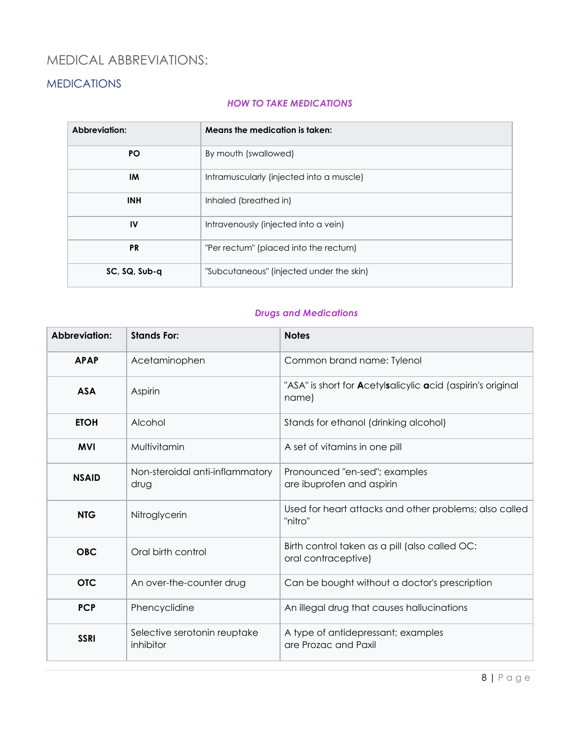### <span id="page-7-1"></span><span id="page-7-0"></span>MEDICATIONS

#### *HOW TO TAKE MEDICATIONS*

| Abbreviation: | Means the medication is taken:           |  |
|---------------|------------------------------------------|--|
| <b>PO</b>     | By mouth (swallowed)                     |  |
| IM            | Intramuscularly (injected into a muscle) |  |
| <b>INH</b>    | Inhaled (breathed in)                    |  |
| IV            | Intravenously (injected into a vein)     |  |
| <b>PR</b>     | "Per rectum" (placed into the rectum)    |  |
| SC, SQ, Sub-q | "Subcutaneous" (injected under the skin) |  |

#### *Drugs and Medications*

| Abbreviation: | <b>Stands For:</b>                        | <b>Notes</b>                                                                         |
|---------------|-------------------------------------------|--------------------------------------------------------------------------------------|
| <b>APAP</b>   | Acetaminophen                             | Common brand name: Tylenol                                                           |
| <b>ASA</b>    | Aspirin                                   | "ASA" is short for <b>A</b> cetylsalicylic <b>a</b> cid (aspirin's original<br>name) |
| <b>ETOH</b>   | Alcohol                                   | Stands for ethanol (drinking alcohol)                                                |
| <b>MVI</b>    | Multivitamin                              | A set of vitamins in one pill                                                        |
| <b>NSAID</b>  | Non-steroidal anti-inflammatory<br>drug   | Pronounced "en-sed"; examples<br>are ibuprofen and aspirin                           |
| <b>NTG</b>    | Nitroglycerin                             | Used for heart attacks and other problems; also called<br>"nitro"                    |
| <b>OBC</b>    | Oral birth control                        | Birth control taken as a pill (also called OC:<br>oral contraceptive)                |
| <b>OTC</b>    | An over-the-counter drug                  | Can be bought without a doctor's prescription                                        |
| <b>PCP</b>    | Phencyclidine                             | An illegal drug that causes hallucinations                                           |
| <b>SSRI</b>   | Selective serotonin reuptake<br>inhibitor | A type of antidepressant; examples<br>are Prozac and Paxil                           |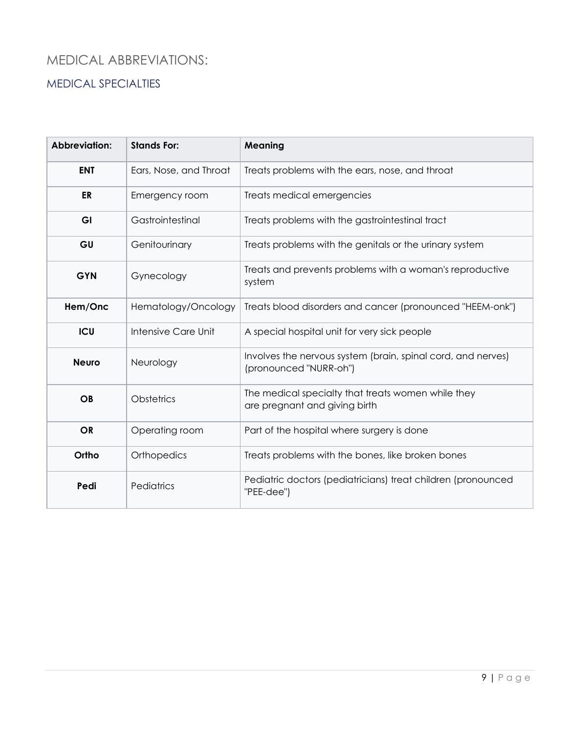### <span id="page-8-1"></span><span id="page-8-0"></span>MEDICAL SPECIALTIES

| Abbreviation: | <b>Stands For:</b>     | Meaning                                                                                |
|---------------|------------------------|----------------------------------------------------------------------------------------|
| <b>ENT</b>    | Ears, Nose, and Throat | Treats problems with the ears, nose, and throat                                        |
| ER            | Emergency room         | Treats medical emergencies                                                             |
| GI            | Gastrointestinal       | Treats problems with the gastrointestinal tract                                        |
| GU            | Genitourinary          | Treats problems with the genitals or the urinary system                                |
| <b>GYN</b>    | Gynecology             | Treats and prevents problems with a woman's reproductive<br>system                     |
| Hem/Onc       | Hematology/Oncology    | Treats blood disorders and cancer (pronounced "HEEM-onk")                              |
| <b>ICU</b>    | Intensive Care Unit    | A special hospital unit for very sick people                                           |
| <b>Neuro</b>  | Neurology              | Involves the nervous system (brain, spinal cord, and nerves)<br>(pronounced "NURR-oh") |
| <b>OB</b>     | <b>Obstetrics</b>      | The medical specialty that treats women while they<br>are pregnant and giving birth    |
| <b>OR</b>     | Operating room         | Part of the hospital where surgery is done                                             |
| Ortho         | Orthopedics            | Treats problems with the bones, like broken bones                                      |
| Pedi          | Pediatrics             | Pediatric doctors (pediatricians) treat children (pronounced<br>"PEE-dee")             |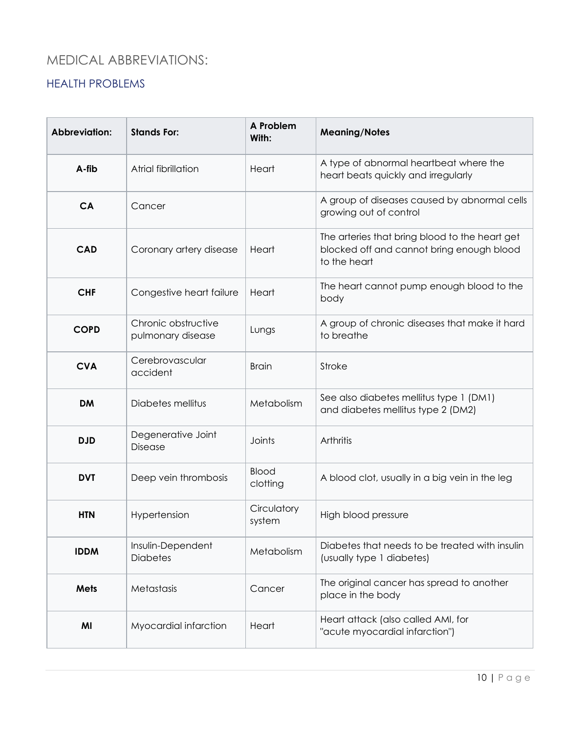#### <span id="page-9-1"></span><span id="page-9-0"></span>HEALTH PROBLEMS

| Abbreviation: | <b>Stands For:</b>                       | A Problem<br>With:    | <b>Meaning/Notes</b>                                                                                        |
|---------------|------------------------------------------|-----------------------|-------------------------------------------------------------------------------------------------------------|
| A-fib         | Atrial fibrillation                      | Heart                 | A type of abnormal heartbeat where the<br>heart beats quickly and irregularly                               |
| CA            | Cancer                                   |                       | A group of diseases caused by abnormal cells<br>growing out of control                                      |
| <b>CAD</b>    | Coronary artery disease                  | Heart                 | The arteries that bring blood to the heart get<br>blocked off and cannot bring enough blood<br>to the heart |
| <b>CHF</b>    | Congestive heart failure                 | Heart                 | The heart cannot pump enough blood to the<br>body                                                           |
| <b>COPD</b>   | Chronic obstructive<br>pulmonary disease | Lungs                 | A group of chronic diseases that make it hard<br>to breathe                                                 |
| <b>CVA</b>    | Cerebrovascular<br>accident              | <b>Brain</b>          | Stroke                                                                                                      |
| <b>DM</b>     | Diabetes mellitus                        | Metabolism            | See also diabetes mellitus type 1 (DM1)<br>and diabetes mellitus type 2 (DM2)                               |
| <b>DJD</b>    | Degenerative Joint<br>Disease            | Joints                | Arthritis                                                                                                   |
| <b>DVT</b>    | Deep vein thrombosis                     | Blood<br>clotting     | A blood clot, usually in a big vein in the leg                                                              |
| <b>HTN</b>    | Hypertension                             | Circulatory<br>system | High blood pressure                                                                                         |
| <b>IDDM</b>   | Insulin-Dependent<br><b>Diabetes</b>     | Metabolism            | Diabetes that needs to be treated with insulin<br>(usually type 1 diabetes)                                 |
| <b>Mets</b>   | Metastasis                               | Cancer                | The original cancer has spread to another<br>place in the body                                              |
| MI            | Myocardial infarction                    | Heart                 | Heart attack (also called AMI, for<br>"acute myocardial infarction")                                        |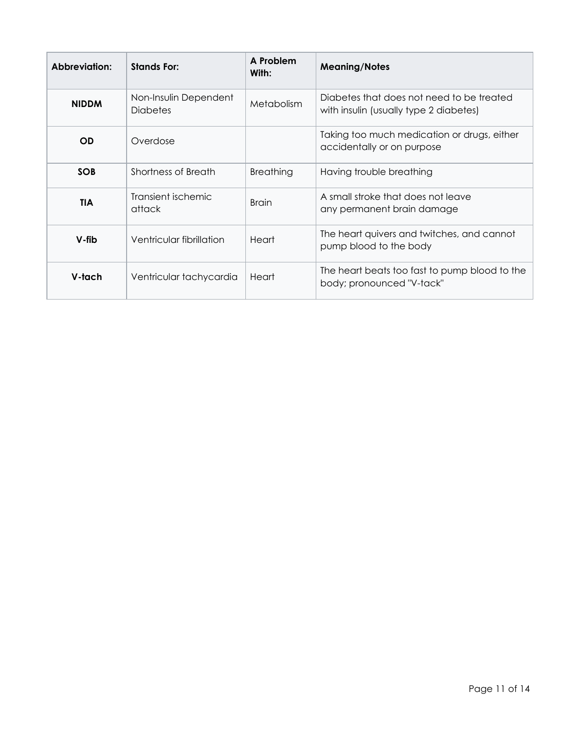| Abbreviation: | <b>Stands For:</b>                       | A Problem<br>With: | <b>Meaning/Notes</b>                                                                |
|---------------|------------------------------------------|--------------------|-------------------------------------------------------------------------------------|
| <b>NIDDM</b>  | Non-Insulin Dependent<br><b>Diabetes</b> | Metabolism         | Diabetes that does not need to be treated<br>with insulin (usually type 2 diabetes) |
| <b>OD</b>     | Overdose                                 |                    | Taking too much medication or drugs, either<br>accidentally or on purpose           |
| <b>SOB</b>    | Shortness of Breath                      | <b>Breathing</b>   | Having trouble breathing                                                            |
| <b>TIA</b>    | Transient ischemic<br>attack             | <b>Brain</b>       | A small stroke that does not leave<br>any permanent brain damage                    |
| V-fib         | Ventricular fibrillation                 | Heart              | The heart quivers and twitches, and cannot<br>pump blood to the body                |
| V-tach        | Ventricular tachycardia                  | Heart              | The heart beats too fast to pump blood to the<br>body; pronounced "V-tack"          |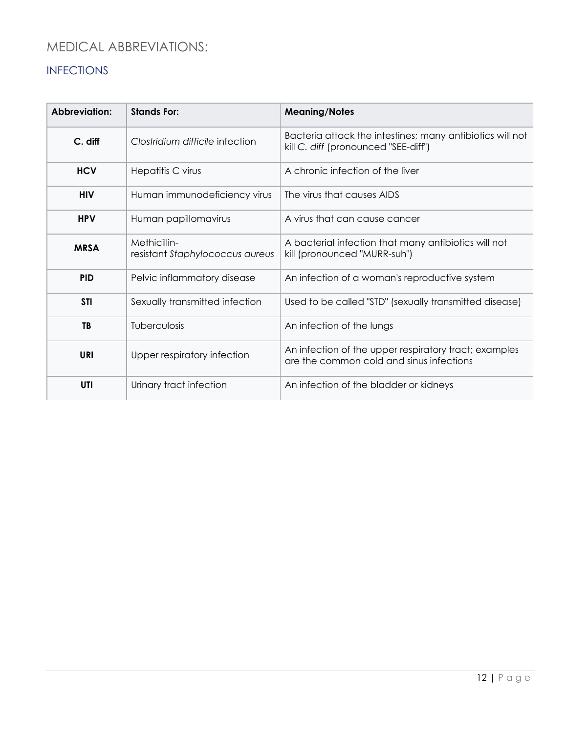## <span id="page-11-1"></span><span id="page-11-0"></span>INFECTIONS

| Abbreviation: | <b>Stands For:</b>                              | <b>Meaning/Notes</b>                                                                              |
|---------------|-------------------------------------------------|---------------------------------------------------------------------------------------------------|
| C. diff       | Clostridium difficile infection                 | Bacteria attack the intestines; many antibiotics will not<br>kill C. diff (pronounced "SEE-diff") |
| <b>HCV</b>    | Hepatitis C virus                               | A chronic infection of the liver                                                                  |
| <b>HIV</b>    | Human immunodeficiency virus                    | The virus that causes AIDS                                                                        |
| <b>HPV</b>    | Human papillomavirus                            | A virus that can cause cancer                                                                     |
| <b>MRSA</b>   | Methicillin-<br>resistant Staphylococcus aureus | A bacterial infection that many antibiotics will not<br>kill (pronounced "MURR-suh")              |
| <b>PID</b>    | Pelvic inflammatory disease                     | An infection of a woman's reproductive system                                                     |
| <b>STI</b>    | Sexually transmitted infection                  | Used to be called "STD" (sexually transmitted disease)                                            |
| TB            | Tuberculosis                                    | An infection of the lungs                                                                         |
| <b>URI</b>    | Upper respiratory infection                     | An infection of the upper respiratory tract; examples<br>are the common cold and sinus infections |
| UTI           | Urinary tract infection                         | An infection of the bladder or kidneys                                                            |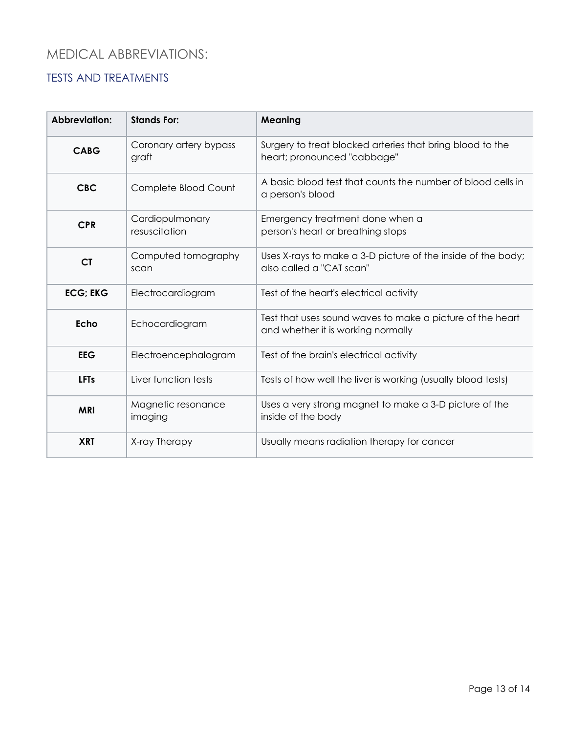### <span id="page-12-1"></span><span id="page-12-0"></span>TESTS AND TREATMENTS

| Abbreviation:   | <b>Stands For:</b>               | <b>Meaning</b>                                                                                  |
|-----------------|----------------------------------|-------------------------------------------------------------------------------------------------|
| CABG            | Coronary artery bypass<br>graft  | Surgery to treat blocked arteries that bring blood to the<br>heart; pronounced "cabbage"        |
| <b>CBC</b>      | Complete Blood Count             | A basic blood test that counts the number of blood cells in<br>a person's blood                 |
| <b>CPR</b>      | Cardiopulmonary<br>resuscitation | Emergency treatment done when a<br>person's heart or breathing stops                            |
| <b>CT</b>       | Computed tomography<br>scan      | Uses X-rays to make a 3-D picture of the inside of the body;<br>also called a "CAT scan"        |
| <b>ECG; EKG</b> | Electrocardiogram                | Test of the heart's electrical activity                                                         |
| Echo            | Echocardiogram                   | Test that uses sound waves to make a picture of the heart<br>and whether it is working normally |
| <b>EEG</b>      | Electroencephalogram             | Test of the brain's electrical activity                                                         |
| <b>LFTs</b>     | Liver function tests             | Tests of how well the liver is working (usually blood tests)                                    |
| <b>MRI</b>      | Magnetic resonance<br>imaging    | Uses a very strong magnet to make a 3-D picture of the<br>inside of the body                    |
| <b>XRT</b>      | X-ray Therapy                    | Usually means radiation therapy for cancer                                                      |